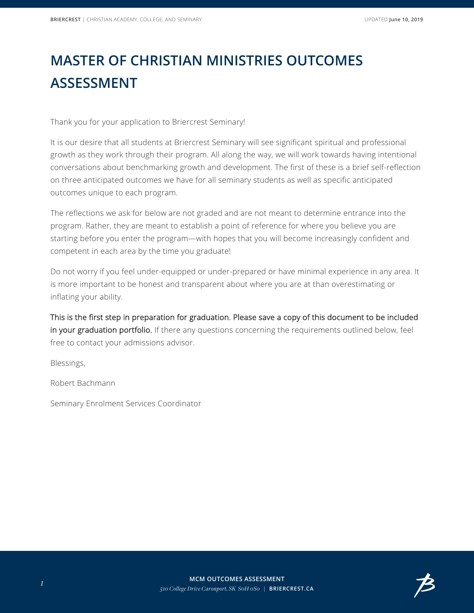## **MASTER OF CHRISTIAN MINISTRIES OUTCOMES ASSESSMENT**

Thank you for your application to Briercrest Seminary!

It is our desire that all students at Briercrest Seminary will see significant spiritual and professional growth as they work through their program. All along the way, we will work towards having intentional conversations about benchmarking growth and development. The first of these is a brief self-reflection on three anticipated outcomes we have for all seminary students as well as specific anticipated outcomes unique to each program.

The reflections we ask for below are not graded and are not meant to determine entrance into the program. Rather, they are meant to establish a point of reference for where you believe you are starting before you enter the program—with hopes that you will become increasingly confident and competent in each area by the time you graduate!

Do not worry if you feel under-equipped or under-prepared or have minimal experience in any area. It is more important to be honest and transparent about where you are at than overestimating or inflating your ability.

This is the first step in preparation for graduation. Please save a copy of this document to be included in your graduation portfolio. If there any questions concerning the requirements outlined below, feel free to contact your admissions advisor.

Blessings,

Robert Bachmann

Seminary Enrolment Services Coordinator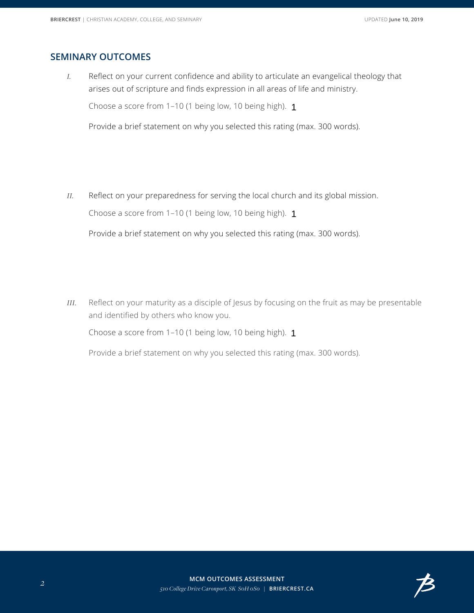## **SEMINARY OUTCOMES**

*I.* Reflect on your current confidence and ability to articulate an evangelical theology that arises out of scripture and finds expression in all areas of life and ministry.

Choose a score from 1–10 (1 being low, 10 being high). 1

Provide a brief statement on why you selected this rating (max. 300 words).

*II.* Reflect on your preparedness for serving the local church and its global mission. Choose a score from 1–10 (1 being low, 10 being high). 1

Provide a brief statement on why you selected this rating (max. 300 words).

*III.* Reflect on your maturity as a disciple of Jesus by focusing on the fruit as may be presentable and identified by others who know you.

Choose a score from 1–10 (1 being low, 10 being high). 1

Provide a brief statement on why you selected this rating (max. 300 words).